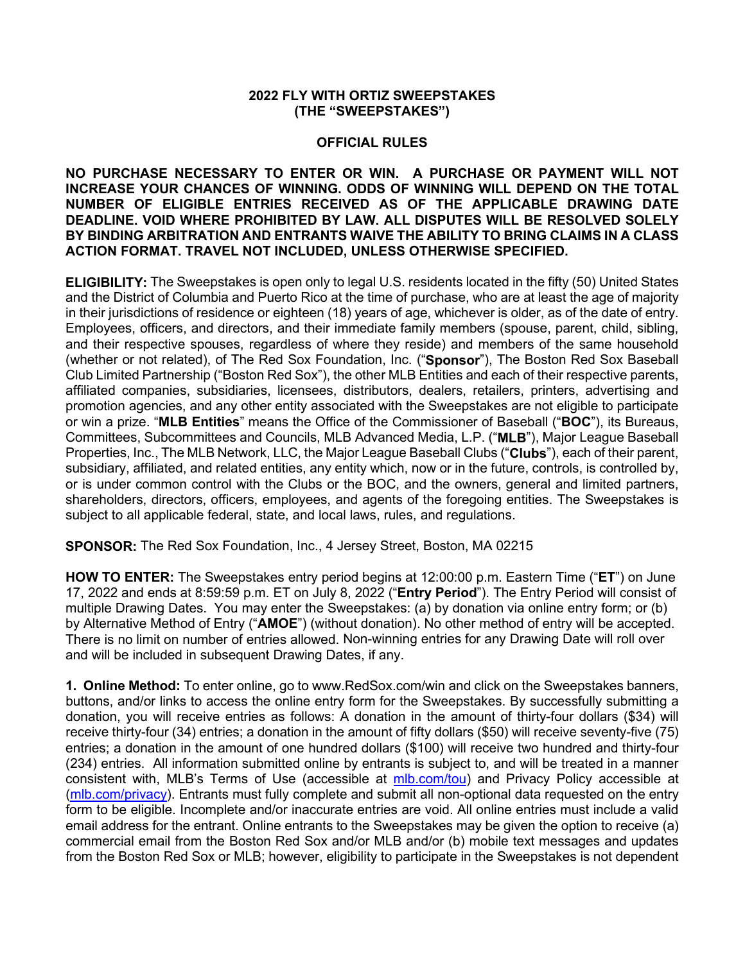## **2022 FLY WITH ORTIZ SWEEPSTAKES (THE "SWEEPSTAKES")**

## **OFFICIAL RULES**

**NO PURCHASE NECESSARY TO ENTER OR WIN. A PURCHASE OR PAYMENT WILL NOT INCREASE YOUR CHANCES OF WINNING. ODDS OF WINNING WILL DEPEND ON THE TOTAL NUMBER OF ELIGIBLE ENTRIES RECEIVED AS OF THE APPLICABLE DRAWING DATE DEADLINE. VOID WHERE PROHIBITED BY LAW. ALL DISPUTES WILL BE RESOLVED SOLELY BY BINDING ARBITRATION AND ENTRANTS WAIVE THE ABILITY TO BRING CLAIMS IN A CLASS ACTION FORMAT. TRAVEL NOT INCLUDED, UNLESS OTHERWISE SPECIFIED.**

**ELIGIBILITY:** The Sweepstakes is open only to legal U.S. residents located in the fifty (50) United States and the District of Columbia and Puerto Rico at the time of purchase, who are at least the age of majority in their jurisdictions of residence or eighteen (18) years of age, whichever is older, as of the date of entry. Employees, officers, and directors, and their immediate family members (spouse, parent, child, sibling, and their respective spouses, regardless of where they reside) and members of the same household (whether or not related), of The Red Sox Foundation, Inc. ("**Sponsor**"), The Boston Red Sox Baseball Club Limited Partnership ("Boston Red Sox"), the other MLB Entities and each of their respective parents, affiliated companies, subsidiaries, licensees, distributors, dealers, retailers, printers, advertising and promotion agencies, and any other entity associated with the Sweepstakes are not eligible to participate or win a prize. "**MLB Entities**" means the Office of the Commissioner of Baseball ("**BOC**"), its Bureaus, Committees, Subcommittees and Councils, MLB Advanced Media, L.P. ("**MLB**"), Major League Baseball Properties, Inc., The MLB Network, LLC, the Major League Baseball Clubs ("**Clubs**"), each of their parent, subsidiary, affiliated, and related entities, any entity which, now or in the future, controls, is controlled by, or is under common control with the Clubs or the BOC, and the owners, general and limited partners, shareholders, directors, officers, employees, and agents of the foregoing entities. The Sweepstakes is subject to all applicable federal, state, and local laws, rules, and regulations.

**SPONSOR:** The Red Sox Foundation, Inc., 4 Jersey Street, Boston, MA 02215

**HOW TO ENTER:** The Sweepstakes entry period begins at 12:00:00 p.m. Eastern Time ("**ET**") on June 17, 2022 and ends at 8:59:59 p.m. ET on July 8, 2022 ("**Entry Period**"). The Entry Period will consist of multiple Drawing Dates. You may enter the Sweepstakes: (a) by donation via online entry form; or (b) by Alternative Method of Entry ("**AMOE**") (without donation). No other method of entry will be accepted. There is no limit on number of entries allowed. Non-winning entries for any Drawing Date will roll over and will be included in subsequent Drawing Dates, if any.

**1. Online Method:** To enter online, go to www.RedSox.com/win and click on the Sweepstakes banners, buttons, and/or links to access the online entry form for the Sweepstakes. By successfully submitting a donation, you will receive entries as follows: A donation in the amount of thirty-four dollars (\$34) will receive thirty-four (34) entries; a donation in the amount of fifty dollars (\$50) will receive seventy-five (75) entries; a donation in the amount of one hundred dollars (\$100) will receive two hundred and thirty-four (234) entries. All information submitted online by entrants is subject to, and will be treated in a manner consistent with, MLB's Terms of Use (accessible at [mlb.com/tou\)](https://www.mlb.com/official-information/terms-of-use) and Privacy Policy accessible at [\(mlb.com/privacy\)](http://www.mlb.com/privacy). Entrants must fully complete and submit all non-optional data requested on the entry form to be eligible. Incomplete and/or inaccurate entries are void. All online entries must include a valid email address for the entrant. Online entrants to the Sweepstakes may be given the option to receive (a) commercial email from the Boston Red Sox and/or MLB and/or (b) mobile text messages and updates from the Boston Red Sox or MLB; however, eligibility to participate in the Sweepstakes is not dependent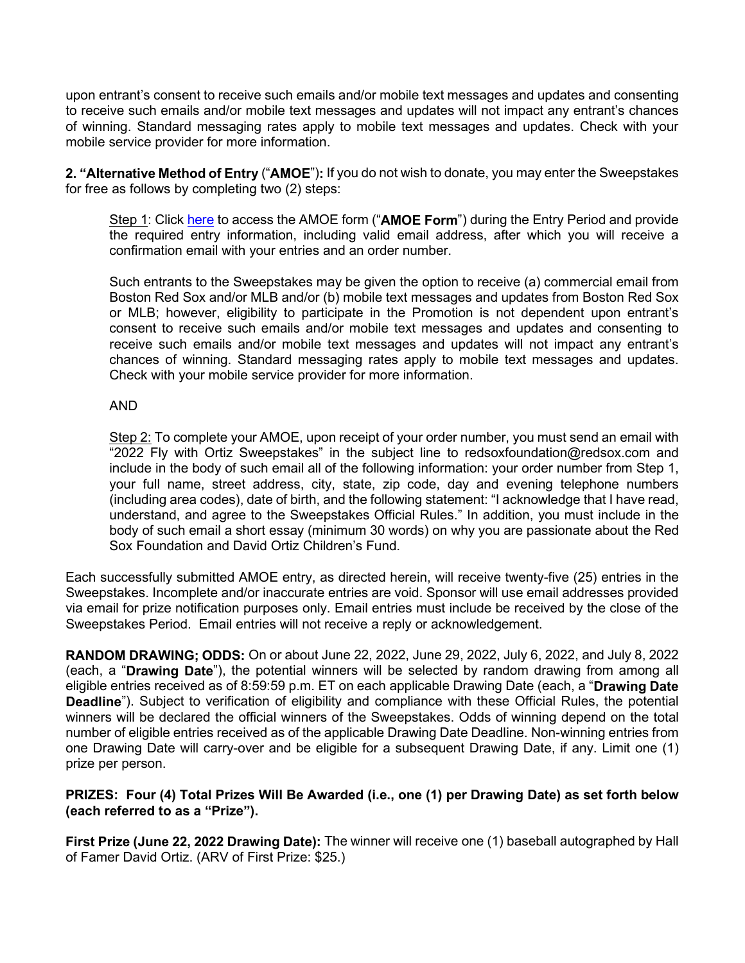upon entrant's consent to receive such emails and/or mobile text messages and updates and consenting to receive such emails and/or mobile text messages and updates will not impact any entrant's chances of winning. Standard messaging rates apply to mobile text messages and updates. Check with your mobile service provider for more information.

**2. "Alternative Method of Entry** ("**AMOE**")**:** If you do not wish to donate, you may enter the Sweepstakes for free as follows by completing two (2) steps:

Step 1: Click [here](https://redsoxsweepstakes.5050central.com/Checkout/v1/kv/?PricePoint_34for0_Qty=1) to access the AMOE form ("**AMOE Form**") during the Entry Period and provide the required entry information, including valid email address, after which you will receive a confirmation email with your entries and an order number.

Such entrants to the Sweepstakes may be given the option to receive (a) commercial email from Boston Red Sox and/or MLB and/or (b) mobile text messages and updates from Boston Red Sox or MLB; however, eligibility to participate in the Promotion is not dependent upon entrant's consent to receive such emails and/or mobile text messages and updates and consenting to receive such emails and/or mobile text messages and updates will not impact any entrant's chances of winning. Standard messaging rates apply to mobile text messages and updates. Check with your mobile service provider for more information.

## AND

Step 2: To complete your AMOE, upon receipt of your order number, you must send an email with "2022 Fly with Ortiz Sweepstakes" in the subject line to redsoxfoundation@redsox.com and include in the body of such email all of the following information: your order number from Step 1, your full name, street address, city, state, zip code, day and evening telephone numbers (including area codes), date of birth, and the following statement: "I acknowledge that I have read, understand, and agree to the Sweepstakes Official Rules." In addition, you must include in the body of such email a short essay (minimum 30 words) on why you are passionate about the Red Sox Foundation and David Ortiz Children's Fund.

Each successfully submitted AMOE entry, as directed herein, will receive twenty-five (25) entries in the Sweepstakes. Incomplete and/or inaccurate entries are void. Sponsor will use email addresses provided via email for prize notification purposes only. Email entries must include be received by the close of the Sweepstakes Period. Email entries will not receive a reply or acknowledgement.

**RANDOM DRAWING; ODDS:** On or about June 22, 2022, June 29, 2022, July 6, 2022, and July 8, 2022 (each, a "**Drawing Date**"), the potential winners will be selected by random drawing from among all eligible entries received as of 8:59:59 p.m. ET on each applicable Drawing Date (each, a "**Drawing Date Deadline**"). Subject to verification of eligibility and compliance with these Official Rules, the potential winners will be declared the official winners of the Sweepstakes. Odds of winning depend on the total number of eligible entries received as of the applicable Drawing Date Deadline. Non-winning entries from one Drawing Date will carry-over and be eligible for a subsequent Drawing Date, if any. Limit one (1) prize per person.

## **PRIZES: Four (4) Total Prizes Will Be Awarded (i.e., one (1) per Drawing Date) as set forth below (each referred to as a "Prize").**

**First Prize (June 22, 2022 Drawing Date):** The winner will receive one (1) baseball autographed by Hall of Famer David Ortiz. (ARV of First Prize: \$25.)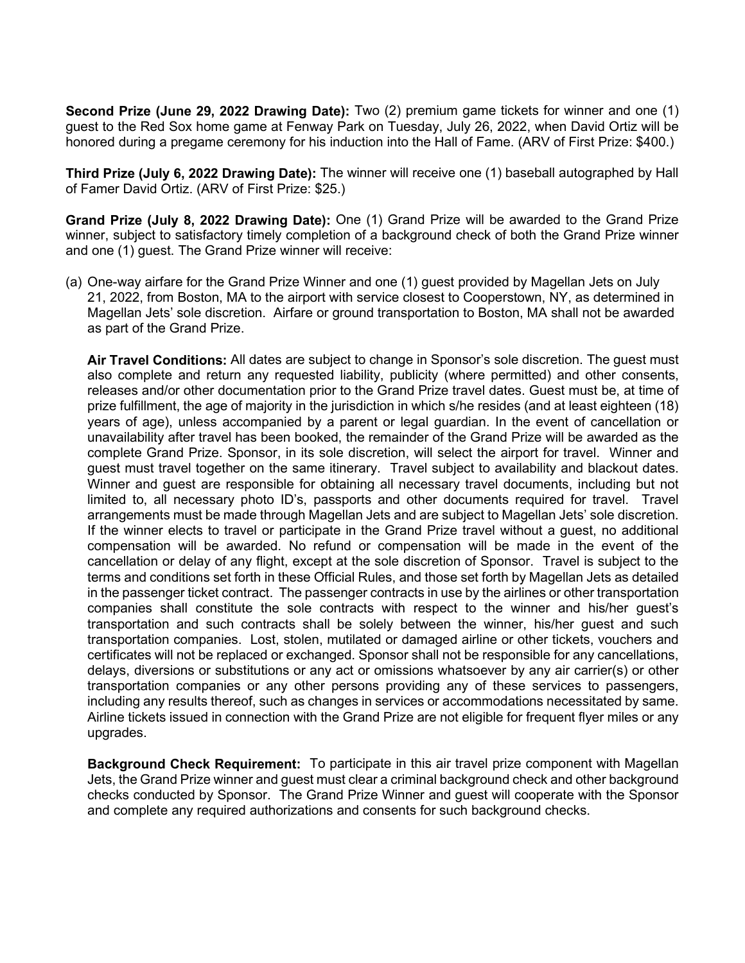**Second Prize (June 29, 2022 Drawing Date):** Two (2) premium game tickets for winner and one (1) guest to the Red Sox home game at Fenway Park on Tuesday, July 26, 2022, when David Ortiz will be honored during a pregame ceremony for his induction into the Hall of Fame. (ARV of First Prize: \$400.)

**Third Prize (July 6, 2022 Drawing Date):** The winner will receive one (1) baseball autographed by Hall of Famer David Ortiz. (ARV of First Prize: \$25.)

**Grand Prize (July 8, 2022 Drawing Date):** One (1) Grand Prize will be awarded to the Grand Prize winner, subject to satisfactory timely completion of a background check of both the Grand Prize winner and one (1) guest. The Grand Prize winner will receive:

(a) One-way airfare for the Grand Prize Winner and one (1) guest provided by Magellan Jets on July 21, 2022, from Boston, MA to the airport with service closest to Cooperstown, NY, as determined in Magellan Jets' sole discretion. Airfare or ground transportation to Boston, MA shall not be awarded as part of the Grand Prize.

**Air Travel Conditions:** All dates are subject to change in Sponsor's sole discretion. The guest must also complete and return any requested liability, publicity (where permitted) and other consents, releases and/or other documentation prior to the Grand Prize travel dates. Guest must be, at time of prize fulfillment, the age of majority in the jurisdiction in which s/he resides (and at least eighteen (18) years of age), unless accompanied by a parent or legal guardian. In the event of cancellation or unavailability after travel has been booked, the remainder of the Grand Prize will be awarded as the complete Grand Prize. Sponsor, in its sole discretion, will select the airport for travel. Winner and guest must travel together on the same itinerary. Travel subject to availability and blackout dates. Winner and guest are responsible for obtaining all necessary travel documents, including but not limited to, all necessary photo ID's, passports and other documents required for travel. Travel arrangements must be made through Magellan Jets and are subject to Magellan Jets' sole discretion. If the winner elects to travel or participate in the Grand Prize travel without a guest, no additional compensation will be awarded. No refund or compensation will be made in the event of the cancellation or delay of any flight, except at the sole discretion of Sponsor. Travel is subject to the terms and conditions set forth in these Official Rules, and those set forth by Magellan Jets as detailed in the passenger ticket contract. The passenger contracts in use by the airlines or other transportation companies shall constitute the sole contracts with respect to the winner and his/her guest's transportation and such contracts shall be solely between the winner, his/her guest and such transportation companies. Lost, stolen, mutilated or damaged airline or other tickets, vouchers and certificates will not be replaced or exchanged. Sponsor shall not be responsible for any cancellations, delays, diversions or substitutions or any act or omissions whatsoever by any air carrier(s) or other transportation companies or any other persons providing any of these services to passengers, including any results thereof, such as changes in services or accommodations necessitated by same. Airline tickets issued in connection with the Grand Prize are not eligible for frequent flyer miles or any upgrades.

**Background Check Requirement:** To participate in this air travel prize component with Magellan Jets, the Grand Prize winner and guest must clear a criminal background check and other background checks conducted by Sponsor. The Grand Prize Winner and guest will cooperate with the Sponsor and complete any required authorizations and consents for such background checks.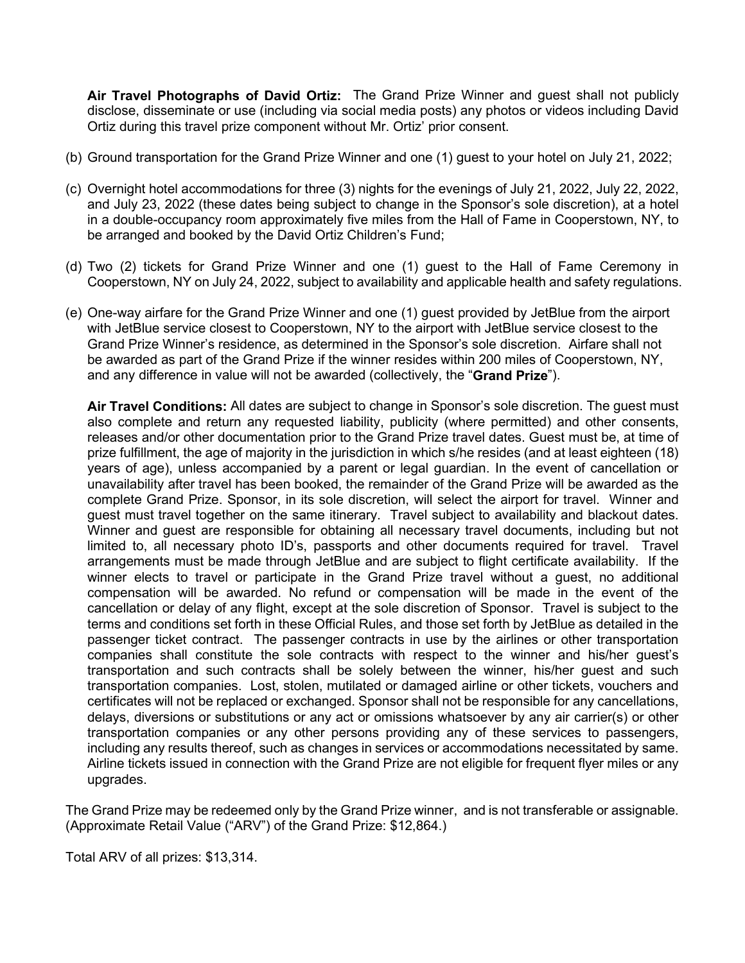**Air Travel Photographs of David Ortiz:** The Grand Prize Winner and guest shall not publicly disclose, disseminate or use (including via social media posts) any photos or videos including David Ortiz during this travel prize component without Mr. Ortiz' prior consent.

- (b) Ground transportation for the Grand Prize Winner and one (1) guest to your hotel on July 21, 2022;
- (c) Overnight hotel accommodations for three (3) nights for the evenings of July 21, 2022, July 22, 2022, and July 23, 2022 (these dates being subject to change in the Sponsor's sole discretion), at a hotel in a double-occupancy room approximately five miles from the Hall of Fame in Cooperstown, NY, to be arranged and booked by the David Ortiz Children's Fund;
- (d) Two (2) tickets for Grand Prize Winner and one (1) guest to the Hall of Fame Ceremony in Cooperstown, NY on July 24, 2022, subject to availability and applicable health and safety regulations.
- (e) One-way airfare for the Grand Prize Winner and one (1) guest provided by JetBlue from the airport with JetBlue service closest to Cooperstown, NY to the airport with JetBlue service closest to the Grand Prize Winner's residence, as determined in the Sponsor's sole discretion. Airfare shall not be awarded as part of the Grand Prize if the winner resides within 200 miles of Cooperstown, NY, and any difference in value will not be awarded (collectively, the "**Grand Prize**").

**Air Travel Conditions:** All dates are subject to change in Sponsor's sole discretion. The guest must also complete and return any requested liability, publicity (where permitted) and other consents, releases and/or other documentation prior to the Grand Prize travel dates. Guest must be, at time of prize fulfillment, the age of majority in the jurisdiction in which s/he resides (and at least eighteen (18) years of age), unless accompanied by a parent or legal guardian. In the event of cancellation or unavailability after travel has been booked, the remainder of the Grand Prize will be awarded as the complete Grand Prize. Sponsor, in its sole discretion, will select the airport for travel. Winner and guest must travel together on the same itinerary. Travel subject to availability and blackout dates. Winner and guest are responsible for obtaining all necessary travel documents, including but not limited to, all necessary photo ID's, passports and other documents required for travel. Travel arrangements must be made through JetBlue and are subject to flight certificate availability. If the winner elects to travel or participate in the Grand Prize travel without a guest, no additional compensation will be awarded. No refund or compensation will be made in the event of the cancellation or delay of any flight, except at the sole discretion of Sponsor. Travel is subject to the terms and conditions set forth in these Official Rules, and those set forth by JetBlue as detailed in the passenger ticket contract. The passenger contracts in use by the airlines or other transportation companies shall constitute the sole contracts with respect to the winner and his/her guest's transportation and such contracts shall be solely between the winner, his/her guest and such transportation companies. Lost, stolen, mutilated or damaged airline or other tickets, vouchers and certificates will not be replaced or exchanged. Sponsor shall not be responsible for any cancellations, delays, diversions or substitutions or any act or omissions whatsoever by any air carrier(s) or other transportation companies or any other persons providing any of these services to passengers, including any results thereof, such as changes in services or accommodations necessitated by same. Airline tickets issued in connection with the Grand Prize are not eligible for frequent flyer miles or any upgrades.

The Grand Prize may be redeemed only by the Grand Prize winner, and is not transferable or assignable. (Approximate Retail Value ("ARV") of the Grand Prize: \$12,864.)

Total ARV of all prizes: \$13,314.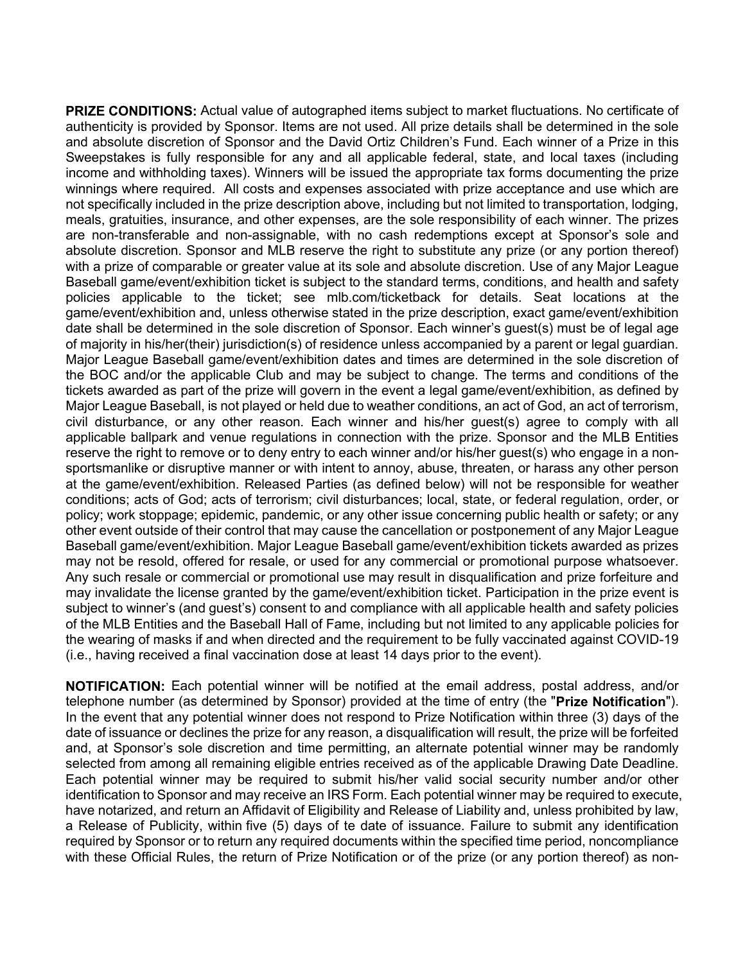**PRIZE CONDITIONS:** Actual value of autographed items subject to market fluctuations. No certificate of authenticity is provided by Sponsor. Items are not used. All prize details shall be determined in the sole and absolute discretion of Sponsor and the David Ortiz Children's Fund. Each winner of a Prize in this Sweepstakes is fully responsible for any and all applicable federal, state, and local taxes (including income and withholding taxes). Winners will be issued the appropriate tax forms documenting the prize winnings where required. All costs and expenses associated with prize acceptance and use which are not specifically included in the prize description above, including but not limited to transportation, lodging, meals, gratuities, insurance, and other expenses, are the sole responsibility of each winner. The prizes are non-transferable and non-assignable, with no cash redemptions except at Sponsor's sole and absolute discretion. Sponsor and MLB reserve the right to substitute any prize (or any portion thereof) with a prize of comparable or greater value at its sole and absolute discretion. Use of any Major League Baseball game/event/exhibition ticket is subject to the standard terms, conditions, and health and safety policies applicable to the ticket; see mlb.com/ticketback for details. Seat locations at the game/event/exhibition and, unless otherwise stated in the prize description, exact game/event/exhibition date shall be determined in the sole discretion of Sponsor. Each winner's guest(s) must be of legal age of majority in his/her(their) jurisdiction(s) of residence unless accompanied by a parent or legal guardian. Major League Baseball game/event/exhibition dates and times are determined in the sole discretion of the BOC and/or the applicable Club and may be subject to change. The terms and conditions of the tickets awarded as part of the prize will govern in the event a legal game/event/exhibition, as defined by Major League Baseball, is not played or held due to weather conditions, an act of God, an act of terrorism, civil disturbance, or any other reason. Each winner and his/her guest(s) agree to comply with all applicable ballpark and venue regulations in connection with the prize. Sponsor and the MLB Entities reserve the right to remove or to deny entry to each winner and/or his/her guest(s) who engage in a nonsportsmanlike or disruptive manner or with intent to annoy, abuse, threaten, or harass any other person at the game/event/exhibition. Released Parties (as defined below) will not be responsible for weather conditions; acts of God; acts of terrorism; civil disturbances; local, state, or federal regulation, order, or policy; work stoppage; epidemic, pandemic, or any other issue concerning public health or safety; or any other event outside of their control that may cause the cancellation or postponement of any Major League Baseball game/event/exhibition. Major League Baseball game/event/exhibition tickets awarded as prizes may not be resold, offered for resale, or used for any commercial or promotional purpose whatsoever. Any such resale or commercial or promotional use may result in disqualification and prize forfeiture and may invalidate the license granted by the game/event/exhibition ticket. Participation in the prize event is subject to winner's (and guest's) consent to and compliance with all applicable health and safety policies of the MLB Entities and the Baseball Hall of Fame, including but not limited to any applicable policies for the wearing of masks if and when directed and the requirement to be fully vaccinated against COVID-19 (i.e., having received a final vaccination dose at least 14 days prior to the event).

**NOTIFICATION:** Each potential winner will be notified at the email address, postal address, and/or telephone number (as determined by Sponsor) provided at the time of entry (the "**Prize Notification**"). In the event that any potential winner does not respond to Prize Notification within three (3) days of the date of issuance or declines the prize for any reason, a disqualification will result, the prize will be forfeited and, at Sponsor's sole discretion and time permitting, an alternate potential winner may be randomly selected from among all remaining eligible entries received as of the applicable Drawing Date Deadline. Each potential winner may be required to submit his/her valid social security number and/or other identification to Sponsor and may receive an IRS Form. Each potential winner may be required to execute, have notarized, and return an Affidavit of Eligibility and Release of Liability and, unless prohibited by law, a Release of Publicity, within five (5) days of te date of issuance. Failure to submit any identification required by Sponsor or to return any required documents within the specified time period, noncompliance with these Official Rules, the return of Prize Notification or of the prize (or any portion thereof) as non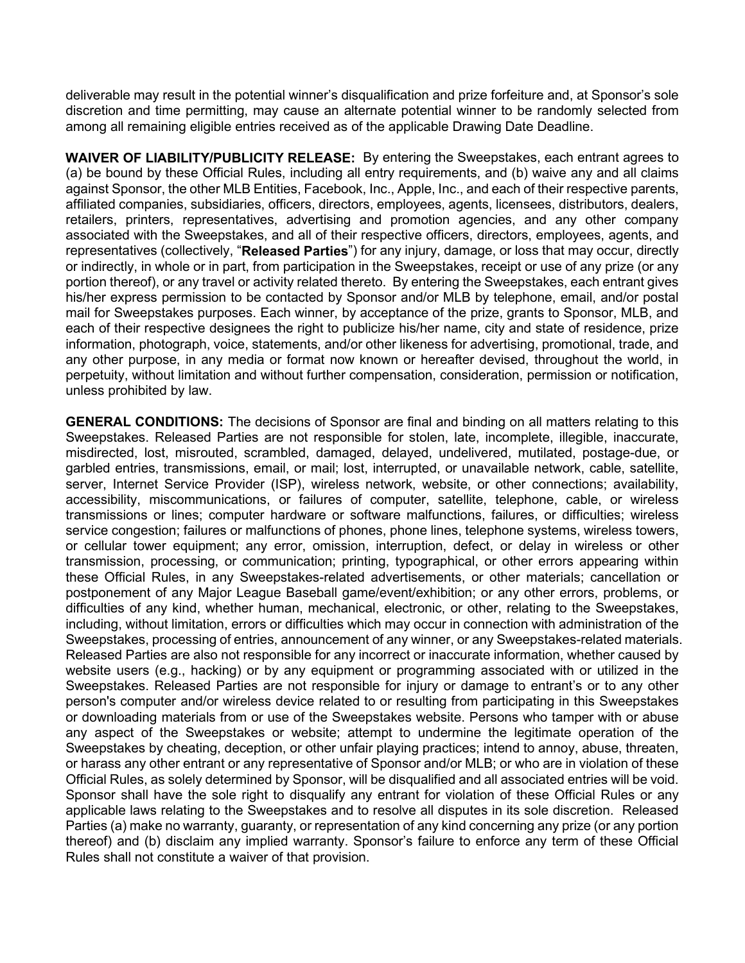deliverable may result in the potential winner's disqualification and prize forfeiture and, at Sponsor's sole discretion and time permitting, may cause an alternate potential winner to be randomly selected from among all remaining eligible entries received as of the applicable Drawing Date Deadline.

**WAIVER OF LIABILITY/PUBLICITY RELEASE:** By entering the Sweepstakes, each entrant agrees to (a) be bound by these Official Rules, including all entry requirements, and (b) waive any and all claims against Sponsor, the other MLB Entities, Facebook, Inc., Apple, Inc., and each of their respective parents, affiliated companies, subsidiaries, officers, directors, employees, agents, licensees, distributors, dealers, retailers, printers, representatives, advertising and promotion agencies, and any other company associated with the Sweepstakes, and all of their respective officers, directors, employees, agents, and representatives (collectively, "**Released Parties**") for any injury, damage, or loss that may occur, directly or indirectly, in whole or in part, from participation in the Sweepstakes, receipt or use of any prize (or any portion thereof), or any travel or activity related thereto. By entering the Sweepstakes, each entrant gives his/her express permission to be contacted by Sponsor and/or MLB by telephone, email, and/or postal mail for Sweepstakes purposes. Each winner, by acceptance of the prize, grants to Sponsor, MLB, and each of their respective designees the right to publicize his/her name, city and state of residence, prize information, photograph, voice, statements, and/or other likeness for advertising, promotional, trade, and any other purpose, in any media or format now known or hereafter devised, throughout the world, in perpetuity, without limitation and without further compensation, consideration, permission or notification, unless prohibited by law.

**GENERAL CONDITIONS:** The decisions of Sponsor are final and binding on all matters relating to this Sweepstakes. Released Parties are not responsible for stolen, late, incomplete, illegible, inaccurate, misdirected, lost, misrouted, scrambled, damaged, delayed, undelivered, mutilated, postage-due, or garbled entries, transmissions, email, or mail; lost, interrupted, or unavailable network, cable, satellite, server, Internet Service Provider (ISP), wireless network, website, or other connections; availability, accessibility, miscommunications, or failures of computer, satellite, telephone, cable, or wireless transmissions or lines; computer hardware or software malfunctions, failures, or difficulties; wireless service congestion; failures or malfunctions of phones, phone lines, telephone systems, wireless towers, or cellular tower equipment; any error, omission, interruption, defect, or delay in wireless or other transmission, processing, or communication; printing, typographical, or other errors appearing within these Official Rules, in any Sweepstakes-related advertisements, or other materials; cancellation or postponement of any Major League Baseball game/event/exhibition; or any other errors, problems, or difficulties of any kind, whether human, mechanical, electronic, or other, relating to the Sweepstakes, including, without limitation, errors or difficulties which may occur in connection with administration of the Sweepstakes, processing of entries, announcement of any winner, or any Sweepstakes-related materials. Released Parties are also not responsible for any incorrect or inaccurate information, whether caused by website users (e.g., hacking) or by any equipment or programming associated with or utilized in the Sweepstakes. Released Parties are not responsible for injury or damage to entrant's or to any other person's computer and/or wireless device related to or resulting from participating in this Sweepstakes or downloading materials from or use of the Sweepstakes website. Persons who tamper with or abuse any aspect of the Sweepstakes or website; attempt to undermine the legitimate operation of the Sweepstakes by cheating, deception, or other unfair playing practices; intend to annoy, abuse, threaten, or harass any other entrant or any representative of Sponsor and/or MLB; or who are in violation of these Official Rules, as solely determined by Sponsor, will be disqualified and all associated entries will be void. Sponsor shall have the sole right to disqualify any entrant for violation of these Official Rules or any applicable laws relating to the Sweepstakes and to resolve all disputes in its sole discretion. Released Parties (a) make no warranty, guaranty, or representation of any kind concerning any prize (or any portion thereof) and (b) disclaim any implied warranty. Sponsor's failure to enforce any term of these Official Rules shall not constitute a waiver of that provision.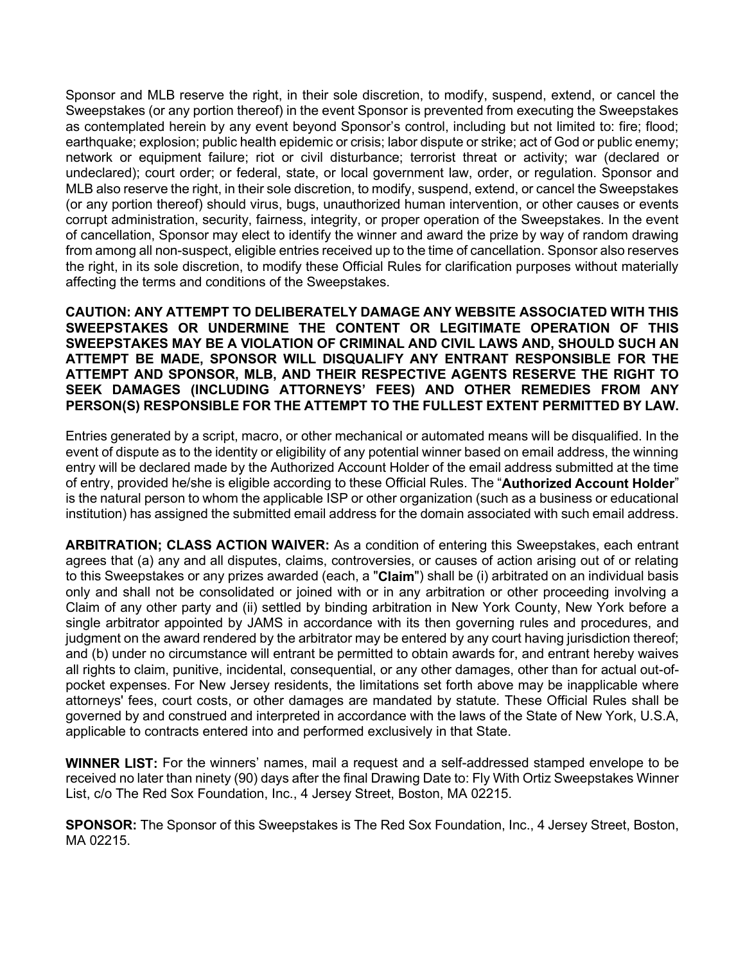Sponsor and MLB reserve the right, in their sole discretion, to modify, suspend, extend, or cancel the Sweepstakes (or any portion thereof) in the event Sponsor is prevented from executing the Sweepstakes as contemplated herein by any event beyond Sponsor's control, including but not limited to: fire; flood; earthquake; explosion; public health epidemic or crisis; labor dispute or strike; act of God or public enemy; network or equipment failure; riot or civil disturbance; terrorist threat or activity; war (declared or undeclared); court order; or federal, state, or local government law, order, or regulation. Sponsor and MLB also reserve the right, in their sole discretion, to modify, suspend, extend, or cancel the Sweepstakes (or any portion thereof) should virus, bugs, unauthorized human intervention, or other causes or events corrupt administration, security, fairness, integrity, or proper operation of the Sweepstakes. In the event of cancellation, Sponsor may elect to identify the winner and award the prize by way of random drawing from among all non-suspect, eligible entries received up to the time of cancellation. Sponsor also reserves the right, in its sole discretion, to modify these Official Rules for clarification purposes without materially affecting the terms and conditions of the Sweepstakes.

**CAUTION: ANY ATTEMPT TO DELIBERATELY DAMAGE ANY WEBSITE ASSOCIATED WITH THIS SWEEPSTAKES OR UNDERMINE THE CONTENT OR LEGITIMATE OPERATION OF THIS SWEEPSTAKES MAY BE A VIOLATION OF CRIMINAL AND CIVIL LAWS AND, SHOULD SUCH AN ATTEMPT BE MADE, SPONSOR WILL DISQUALIFY ANY ENTRANT RESPONSIBLE FOR THE ATTEMPT AND SPONSOR, MLB, AND THEIR RESPECTIVE AGENTS RESERVE THE RIGHT TO SEEK DAMAGES (INCLUDING ATTORNEYS' FEES) AND OTHER REMEDIES FROM ANY PERSON(S) RESPONSIBLE FOR THE ATTEMPT TO THE FULLEST EXTENT PERMITTED BY LAW.**

Entries generated by a script, macro, or other mechanical or automated means will be disqualified. In the event of dispute as to the identity or eligibility of any potential winner based on email address, the winning entry will be declared made by the Authorized Account Holder of the email address submitted at the time of entry, provided he/she is eligible according to these Official Rules. The "**Authorized Account Holder**" is the natural person to whom the applicable ISP or other organization (such as a business or educational institution) has assigned the submitted email address for the domain associated with such email address.

**ARBITRATION; CLASS ACTION WAIVER:** As a condition of entering this Sweepstakes, each entrant agrees that (a) any and all disputes, claims, controversies, or causes of action arising out of or relating to this Sweepstakes or any prizes awarded (each, a "**Claim**") shall be (i) arbitrated on an individual basis only and shall not be consolidated or joined with or in any arbitration or other proceeding involving a Claim of any other party and (ii) settled by binding arbitration in New York County, New York before a single arbitrator appointed by JAMS in accordance with its then governing rules and procedures, and judgment on the award rendered by the arbitrator may be entered by any court having jurisdiction thereof; and (b) under no circumstance will entrant be permitted to obtain awards for, and entrant hereby waives all rights to claim, punitive, incidental, consequential, or any other damages, other than for actual out-ofpocket expenses. For New Jersey residents, the limitations set forth above may be inapplicable where attorneys' fees, court costs, or other damages are mandated by statute. These Official Rules shall be governed by and construed and interpreted in accordance with the laws of the State of New York, U.S.A, applicable to contracts entered into and performed exclusively in that State.

**WINNER LIST:** For the winners' names, mail a request and a self-addressed stamped envelope to be received no later than ninety (90) days after the final Drawing Date to: Fly With Ortiz Sweepstakes Winner List, c/o The Red Sox Foundation, Inc., 4 Jersey Street, Boston, MA 02215.

**SPONSOR:** The Sponsor of this Sweepstakes is The Red Sox Foundation, Inc., 4 Jersey Street, Boston, MA 02215.